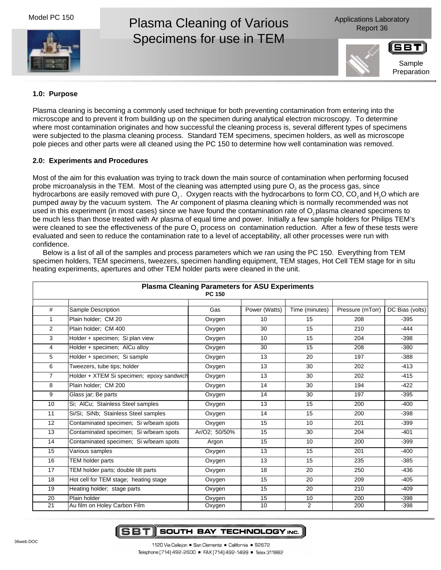Model PC 150



# Plasma Cleaning of Various Specimens for use in TEM

Applications Laboratory Report 36



Sample

# **1.0: Purpose**

Plasma cleaning is becoming a commonly used technique for both preventing contamination from entering into the microscope and to prevent it from building up on the specimen during analytical electron microscopy. To determine where most contamination originates and how successful the cleaning process is, several different types of specimens were subjected to the plasma cleaning process. Standard TEM specimens, specimen holders, as well as microscope pole pieces and other parts were all cleaned using the PC 150 to determine how well contamination was removed.

## **2.0: Experiments and Procedures**

Most of the aim for this evaluation was trying to track down the main source of contamination when performing focused probe microanalysis in the TEM. Most of the cleaning was attempted using pure O<sub>2</sub> as the process gas, since hydrocarbons are easily removed with pure O<sub>2</sub>. Oxygen reacts with the hydrocarbons to form CO, CO<sub>2</sub> and H<sub>2</sub>O which are pumped away by the vacuum system. The Ar component of plasma cleaning which is normally recommended was not used in this experiment (in most cases) since we have found the contamination rate of  $O_2$  plasma cleaned specimens to be much less than those treated with Ar plasma of equal time and power. Initially a few sample holders for Philips TEM's were cleaned to see the effectiveness of the pure  $O<sub>2</sub>$  process on contamination reduction. After a few of these tests were evaluated and seen to reduce the contamination rate to a level of acceptability, all other processes were run with confidence.

Below is a list of all of the samples and process parameters which we ran using the PC 150. Everything from TEM specimen holders, TEM specimens, tweezers, specimen handling equipment, TEM stages, Hot Cell TEM stage for in situ heating experiments, apertures and other TEM holder parts were cleaned in the unit.

| <b>Plasma Cleaning Parameters for ASU Experiments</b><br><b>PC 150</b> |                                           |               |               |                |                  |                 |
|------------------------------------------------------------------------|-------------------------------------------|---------------|---------------|----------------|------------------|-----------------|
| #                                                                      | Sample Description                        | Gas           | Power (Watts) | Time (minutes) | Pressure (mTorr) | DC Bias (volts) |
| 1                                                                      | Plain holder: CM 20                       | Oxygen        | 10            | 15             | 208              | $-395$          |
| 2                                                                      | Plain holder; CM 400                      | Oxygen        | 30            | 15             | 210              | $-444$          |
| 3                                                                      | Holder + specimen; Si plan view           | Oxygen        | 10            | 15             | 204              | $-398$          |
| 4                                                                      | Holder + specimen; AICu alloy             | Oxygen        | 30            | 15             | 208              | $-380$          |
| 5                                                                      | Holder + specimen: Si sample              | Oxygen        | 13            | 20             | 197              | $-388$          |
| 6                                                                      | Tweezers, tube tips; holder               | Oxygen        | 13            | 30             | 202              | $-413$          |
| $\overline{7}$                                                         | Holder + XTEM Si specimen; epoxy sandwich | Oxygen        | 13            | 30             | 202              | $-415$          |
| 8                                                                      | Plain holder: CM 200                      | Oxygen        | 14            | 30             | 194              | $-422$          |
| 9                                                                      | Glass jar; Be parts                       | Oxygen        | 14            | 30             | 197              | $-395$          |
| 10                                                                     | Si; AlCu; Stainless Steel samples         | Oxygen        | 13            | 15             | 200              | $-400$          |
| 11                                                                     | Si/Si; SiNb; Stainless Steel samples      | Oxygen        | 14            | 15             | 200              | $-398$          |
| 12                                                                     | Contaminated specimen; Si w/beam spots    | Oxygen        | 15            | 10             | 201              | $-399$          |
| 13                                                                     | Contaminated specimen; Si w/beam spots    | Ar/O2; 50/50% | 15            | 30             | 204              | $-401$          |
| 14                                                                     | Contaminated specimen: Si w/beam spots    | Argon         | 15            | 10             | 200              | $-399$          |
| 15                                                                     | Various samples                           | Oxygen        | 13            | 15             | 201              | $-400$          |
| 16                                                                     | <b>TEM holder parts</b>                   | Oxygen        | 13            | 15             | 235              | $-385$          |
| 17                                                                     | TEM holder parts; double tilt parts       | Oxygen        | 18            | 20             | 250              | $-436$          |
| 18                                                                     | Hot cell for TEM stage; heating stage     | Oxygen        | 15            | 20             | 209              | $-405$          |
| 19                                                                     | Heating holder; stage parts               | Oxygen        | 15            | 20             | 210              | $-409$          |
| 20                                                                     | Plain holder                              | Oxygen        | 15            | 10             | 200              | $-398$          |
| 21                                                                     | Au film on Holey Carbon Film              | Oxygen        | 10            | $\overline{2}$ | 200              | $-398$          |

**SBTI** SOUTH BAY TECHNOLOGY INC.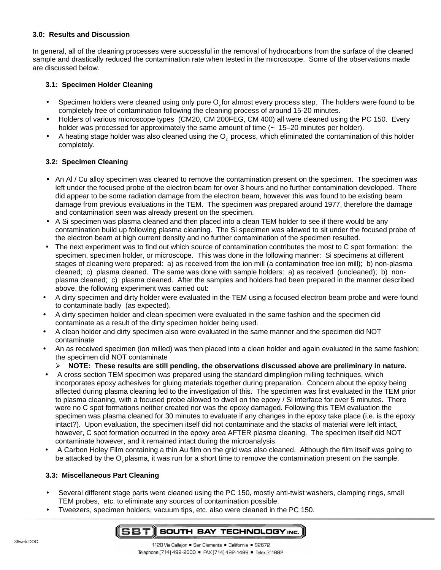# **3.0: Results and Discussion**

In general, all of the cleaning processes were successful in the removal of hydrocarbons from the surface of the cleaned sample and drastically reduced the contamination rate when tested in the microscope. Some of the observations made are discussed below.

# **3.1: Specimen Holder Cleaning**

- Specimen holders were cleaned using only pure O<sub>2</sub> for almost every process step. The holders were found to be completely free of contamination following the cleaning process of around 15-20 minutes.
- Holders of various microscope types (CM20, CM 200FEG, CM 400) all were cleaned using the PC 150. Every holder was processed for approximately the same amount of time  $(-15-20$  minutes per holder).
- A heating stage holder was also cleaned using the O<sub>2</sub> process, which eliminated the contamination of this holder completely.

# **3.2: Specimen Cleaning**

- An Al / Cu alloy specimen was cleaned to remove the contamination present on the specimen. The specimen was left under the focused probe of the electron beam for over 3 hours and no further contamination developed. There did appear to be some radiation damage from the electron beam, however this was found to be existing beam damage from previous evaluations in the TEM. The specimen was prepared around 1977, therefore the damage and contamination seen was already present on the specimen.
- A Si specimen was plasma cleaned and then placed into a clean TEM holder to see if there would be any contamination build up following plasma cleaning. The Si specimen was allowed to sit under the focused probe of the electron beam at high current density and no further contamination of the specimen resulted.
- The next experiment was to find out which source of contamination contributes the most to C spot formation: the specimen, specimen holder, or microscope. This was done in the following manner: Si specimens at different stages of cleaning were prepared: a) as received from the ion mill (a contamination free ion mill); b) non-plasma cleaned; c) plasma cleaned. The same was done with sample holders: a) as received (uncleaned); b) nonplasma cleaned; c) plasma cleaned. After the samples and holders had been prepared in the manner described above, the following experiment was carried out:
- A dirty specimen and dirty holder were evaluated in the TEM using a focused electron beam probe and were found to contaminate badly (as expected).
- A dirty specimen holder and clean specimen were evaluated in the same fashion and the specimen did contaminate as a result of the dirty specimen holder being used.
- A clean holder and dirty specimen also were evaluated in the same manner and the specimen did NOT contaminate
- An as received specimen (ion milled) was then placed into a clean holder and again evaluated in the same fashion; the specimen did NOT contaminate
	- ! **NOTE: These results are still pending, the observations discussed above are preliminary in nature.**
- A cross section TEM specimen was prepared using the standard dimpling/ion milling techniques, which incorporates epoxy adhesives for gluing materials together during preparation. Concern about the epoxy being affected during plasma cleaning led to the investigation of this. The specimen was first evaluated in the TEM prior to plasma cleaning, with a focused probe allowed to dwell on the epoxy / Si interface for over 5 minutes. There were no C spot formations neither created nor was the epoxy damaged. Following this TEM evaluation the specimen was plasma cleaned for 30 minutes to evaluate if any changes in the epoxy take place (i.e. is the epoxy intact?). Upon evaluation, the specimen itself did not contaminate and the stacks of material were left intact, however, C spot formation occurred in the epoxy area AFTER plasma cleaning. The specimen itself did NOT contaminate however, and it remained intact during the microanalysis.
- A Carbon Holey Film containing a thin Au film on the grid was also cleaned. Although the film itself was going to be attacked by the O<sub>2</sub> plasma, it was run for a short time to remove the contamination present on the sample.

## **3.3: Miscellaneous Part Cleaning**

- Several different stage parts were cleaned using the PC 150, mostly anti-twist washers, clamping rings, small TEM probes, etc. to eliminate any sources of contamination possible.
- Tweezers, specimen holders, vacuum tips, etc. also were cleaned in the PC 150.

#### SBTI SOUTH BAY TECHNOLOGY INC.